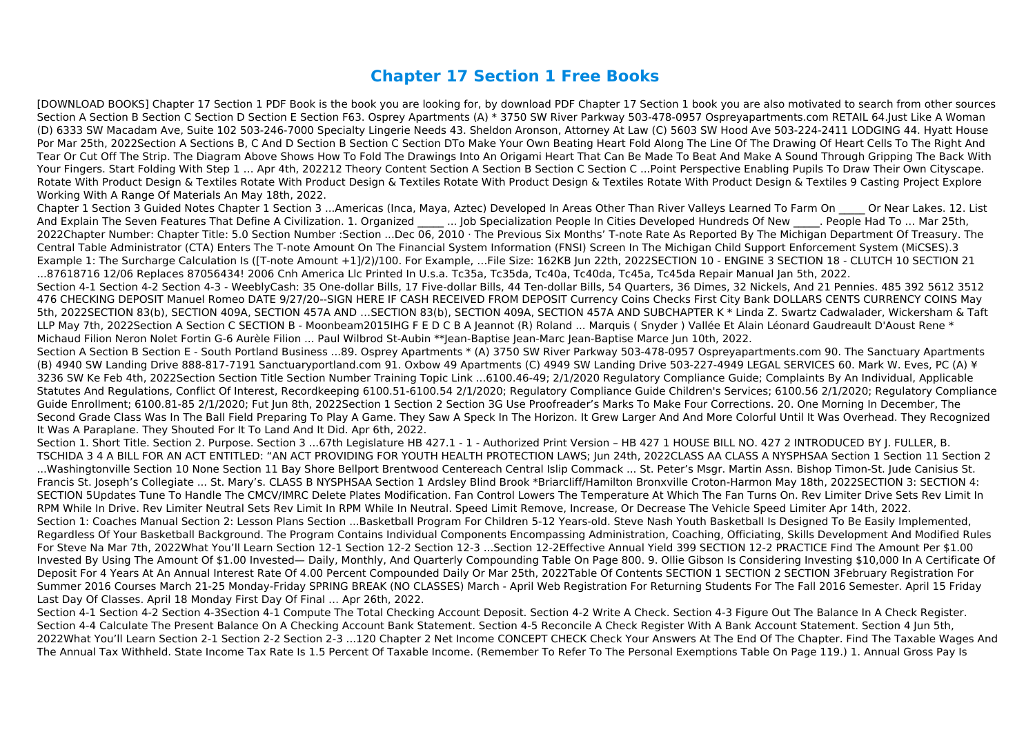## **Chapter 17 Section 1 Free Books**

[DOWNLOAD BOOKS] Chapter 17 Section 1 PDF Book is the book you are looking for, by download PDF Chapter 17 Section 1 book you are also motivated to search from other sources Section A Section B Section C Section D Section E Section F63. Osprey Apartments (A) \* 3750 SW River Parkway 503-478-0957 Ospreyapartments.com RETAIL 64.Just Like A Woman (D) 6333 SW Macadam Ave, Suite 102 503-246-7000 Specialty Lingerie Needs 43. Sheldon Aronson, Attorney At Law (C) 5603 SW Hood Ave 503-224-2411 LODGING 44. Hyatt House Por Mar 25th, 2022Section A Sections B, C And D Section B Section C Section DTo Make Your Own Beating Heart Fold Along The Line Of The Drawing Of Heart Cells To The Right And Tear Or Cut Off The Strip. The Diagram Above Shows How To Fold The Drawings Into An Origami Heart That Can Be Made To Beat And Make A Sound Through Gripping The Back With Your Fingers. Start Folding With Step 1 … Apr 4th, 202212 Theory Content Section A Section B Section C Section C ...Point Perspective Enabling Pupils To Draw Their Own Cityscape. Rotate With Product Design & Textiles Rotate With Product Design & Textiles Rotate With Product Design & Textiles Rotate With Product Design & Textiles 9 Casting Project Explore Working With A Range Of Materials An May 18th, 2022.

Chapter 1 Section 3 Guided Notes Chapter 1 Section 3 ...Americas (Inca, Maya, Aztec) Developed In Areas Other Than River Valleys Learned To Farm On \_\_\_\_\_ Or Near Lakes. 12. List And Explain The Seven Features That Define A Civilization. 1. Organized \_\_\_\_\_ ... Job Specialization People In Cities Developed Hundreds Of New \_\_\_\_\_. People Had To ... Mar 25th, 2022Chapter Number: Chapter Title: 5.0 Section Number :Section ...Dec 06, 2010 · The Previous Six Months' T-note Rate As Reported By The Michigan Department Of Treasury. The Central Table Administrator (CTA) Enters The T-note Amount On The Financial System Information (FNSI) Screen In The Michigan Child Support Enforcement System (MiCSES).3 Example 1: The Surcharge Calculation Is ([T-note Amount +1]/2)/100. For Example, …File Size: 162KB Jun 22th, 2022SECTION 10 - ENGINE 3 SECTION 18 - CLUTCH 10 SECTION 21 ...87618716 12/06 Replaces 87056434! 2006 Cnh America Llc Printed In U.s.a. Tc35a, Tc35da, Tc40a, Tc40da, Tc45a, Tc45da Repair Manual Jan 5th, 2022. Section 4-1 Section 4-2 Section 4-3 - WeeblyCash: 35 One-dollar Bills, 17 Five-dollar Bills, 44 Ten-dollar Bills, 54 Quarters, 36 Dimes, 32 Nickels, And 21 Pennies. 485 392 5612 3512 476 CHECKING DEPOSIT Manuel Romeo DATE 9/27/20--SIGN HERE IF CASH RECEIVED FROM DEPOSIT Currency Coins Checks First City Bank DOLLARS CENTS CURRENCY COINS May 5th, 2022SECTION 83(b), SECTION 409A, SECTION 457A AND …SECTION 83(b), SECTION 409A, SECTION 457A AND SUBCHAPTER K \* Linda Z. Swartz Cadwalader, Wickersham & Taft LLP May 7th, 2022Section A Section C SECTION B - Moonbeam2015IHG F E D C B A Jeannot (R) Roland ... Marquis (Snyder) Vallée Et Alain Léonard Gaudreault D'Aoust Rene \* Michaud Filion Neron Nolet Fortin G-6 Aurèle Filion ... Paul Wilbrod St-Aubin \*\*Jean-Baptise Jean-Marc Jean-Baptise Marce Jun 10th, 2022. Section A Section B Section E - South Portland Business ...89. Osprey Apartments \* (A) 3750 SW River Parkway 503-478-0957 Ospreyapartments.com 90. The Sanctuary Apartments

(B) 4940 SW Landing Drive 888-817-7191 Sanctuaryportland.com 91. Oxbow 49 Apartments (C) 4949 SW Landing Drive 503-227-4949 LEGAL SERVICES 60. Mark W. Eves, PC (A) ¥ 3236 SW Ke Feb 4th, 2022Section Section Title Section Number Training Topic Link ...6100.46-49; 2/1/2020 Regulatory Compliance Guide; Complaints By An Individual, Applicable Statutes And Regulations, Conflict Of Interest, Recordkeeping 6100.51-6100.54 2/1/2020; Regulatory Compliance Guide Children's Services; 6100.56 2/1/2020; Regulatory Compliance Guide Enrollment; 6100.81-85 2/1/2020; Fut Jun 8th, 2022Section 1 Section 2 Section 3G Use Proofreader's Marks To Make Four Corrections. 20. One Morning In December, The Second Grade Class Was In The Ball Field Preparing To Play A Game. They Saw A Speck In The Horizon. It Grew Larger And And More Colorful Until It Was Overhead. They Recognized It Was A Paraplane. They Shouted For It To Land And It Did. Apr 6th, 2022.

Section 1. Short Title. Section 2. Purpose. Section 3 ...67th Legislature HB 427.1 - 1 - Authorized Print Version – HB 427 1 HOUSE BILL NO. 427 2 INTRODUCED BY J. FULLER, B. TSCHIDA 3 4 A BILL FOR AN ACT ENTITLED: "AN ACT PROVIDING FOR YOUTH HEALTH PROTECTION LAWS; Jun 24th, 2022CLASS AA CLASS A NYSPHSAA Section 1 Section 11 Section 2 ...Washingtonville Section 10 None Section 11 Bay Shore Bellport Brentwood Centereach Central Islip Commack ... St. Peter's Msgr. Martin Assn. Bishop Timon-St. Jude Canisius St. Francis St. Joseph's Collegiate ... St. Mary's. CLASS B NYSPHSAA Section 1 Ardsley Blind Brook \*Briarcliff/Hamilton Bronxville Croton-Harmon May 18th, 2022SECTION 3: SECTION 4: SECTION 5Updates Tune To Handle The CMCV/IMRC Delete Plates Modification. Fan Control Lowers The Temperature At Which The Fan Turns On. Rev Limiter Drive Sets Rev Limit In RPM While In Drive. Rev Limiter Neutral Sets Rev Limit In RPM While In Neutral. Speed Limit Remove, Increase, Or Decrease The Vehicle Speed Limiter Apr 14th, 2022. Section 1: Coaches Manual Section 2: Lesson Plans Section ...Basketball Program For Children 5-12 Years-old. Steve Nash Youth Basketball Is Designed To Be Easily Implemented, Regardless Of Your Basketball Background. The Program Contains Individual Components Encompassing Administration, Coaching, Officiating, Skills Development And Modified Rules For Steve Na Mar 7th, 2022What You'll Learn Section 12-1 Section 12-2 Section 12-3 ...Section 12-2Effective Annual Yield 399 SECTION 12-2 PRACTICE Find The Amount Per \$1.00 Invested By Using The Amount Of \$1.00 Invested— Daily, Monthly, And Quarterly Compounding Table On Page 800. 9. Ollie Gibson Is Considering Investing \$10,000 In A Certificate Of Deposit For 4 Years At An Annual Interest Rate Of 4.00 Percent Compounded Daily Or Mar 25th, 2022Table Of Contents SECTION 1 SECTION 2 SECTION 3February Registration For Summer 2016 Courses March 21-25 Monday-Friday SPRING BREAK (NO CLASSES) March - April Web Registration For Returning Students For The Fall 2016 Semester. April 15 Friday Last Day Of Classes. April 18 Monday First Day Of Final … Apr 26th, 2022.

Section 4-1 Section 4-2 Section 4-3Section 4-1 Compute The Total Checking Account Deposit. Section 4-2 Write A Check. Section 4-3 Figure Out The Balance In A Check Register. Section 4-4 Calculate The Present Balance On A Checking Account Bank Statement. Section 4-5 Reconcile A Check Register With A Bank Account Statement. Section 4 Jun 5th, 2022What You'll Learn Section 2-1 Section 2-2 Section 2-3 ...120 Chapter 2 Net Income CONCEPT CHECK Check Your Answers At The End Of The Chapter. Find The Taxable Wages And The Annual Tax Withheld. State Income Tax Rate Is 1.5 Percent Of Taxable Income. (Remember To Refer To The Personal Exemptions Table On Page 119.) 1. Annual Gross Pay Is